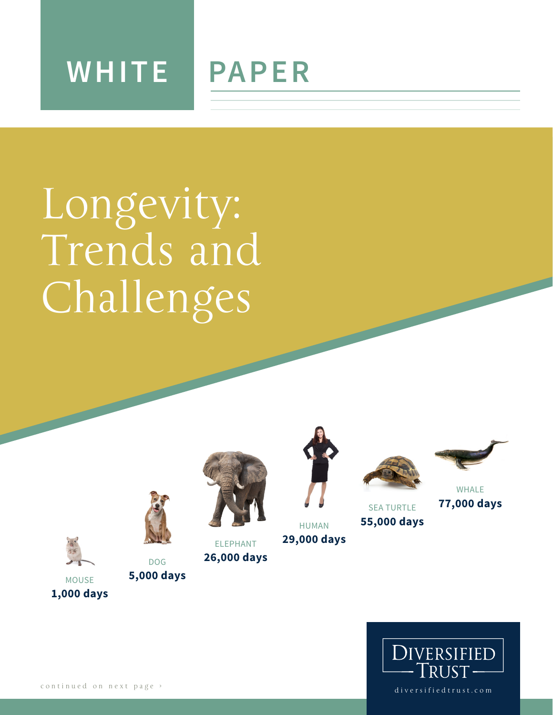## **WHITE PAPER**

# Longevity: Trends and Challenges



DOG **5,000 days**

MOUSE **1,000 days**



ELEPHANT **26,000 days**



HUMAN **29,000 days**



**55,000 days**



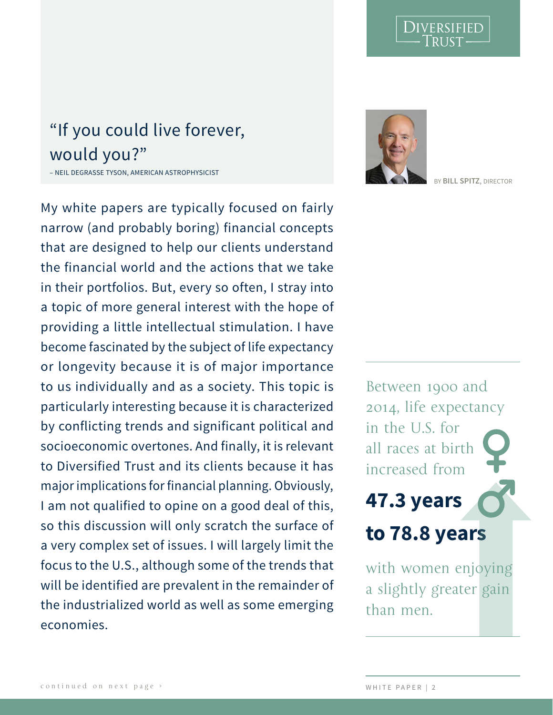DIVERSIFIED

## "If you could live forever, would you?"

– NEIL DEGRASSE TYSON, AMERICAN ASTROPHYSICIST

My white papers are typically focused on fairly narrow (and probably boring) financial concepts that are designed to help our clients understand the financial world and the actions that we take in their portfolios. But, every so often, I stray into a topic of more general interest with the hope of providing a little intellectual stimulation. I have become fascinated by the subject of life expectancy or longevity because it is of major importance to us individually and as a society. This topic is particularly interesting because it is characterized by conflicting trends and significant political and socioeconomic overtones. And finally, it is relevant to Diversified Trust and its clients because it has major implications for financial planning. Obviously, I am not qualified to opine on a good deal of this, so this discussion will only scratch the surface of a very complex set of issues. I will largely limit the focus to the U.S., although some of the trends that will be identified are prevalent in the remainder of the industrialized world as well as some emerging economies.



BY **BILL SPITZ**, DIRECTOR

Between 1900 and 2014, life expectancy in the U.S. for all races at birth increased from **47.3 years to 78.8 years**

with women enjoying a slightly greater gain than men.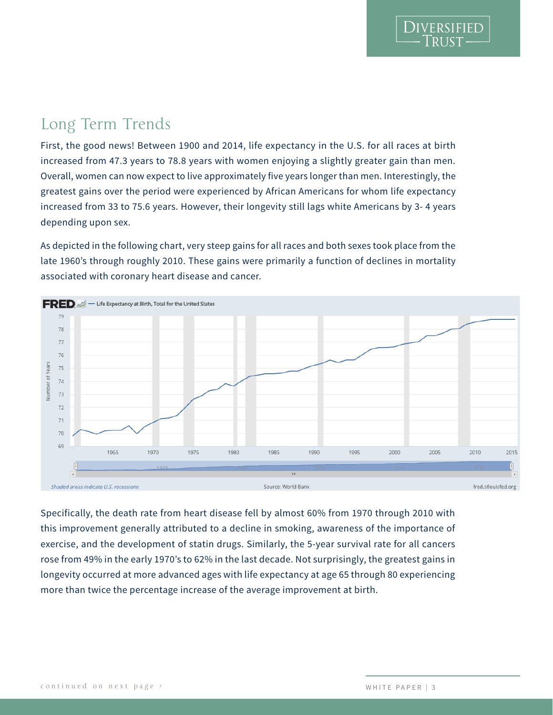## Long Term Trends

First, the good news! Between 1900 and 2014, life expectancy in the U.S. for all races at birth increased from 47.3 years to 78.8 years with women enjoying a slightly greater gain than men. Overall, women can now expect to live approximately five years longer than men. Interestingly, the greatest gains over the period were experienced by African Americans for whom life expectancy increased from 33 to 75.6 years. However, their longevity still lags white Americans by 3- 4 years depending upon sex.

As depicted in the following chart, very steep gains for all races and both sexes took place from the late 1960's through roughly 2010. These gains were primarily a function of declines in mortality associated with coronary heart disease and cancer.



Specifically, the death rate from heart disease fell by almost 60% from 1970 through 2010 with this improvement generally attributed to a decline in smoking, awareness of the importance of exercise, and the development of statin drugs. Similarly, the 5-year survival rate for all cancers rose from 49% in the early 1970's to 62% in the last decade. Not surprisingly, the greatest gains in longevity occurred at more advanced ages with life expectancy at age 65 through 80 experiencing more than twice the percentage increase of the average improvement at birth.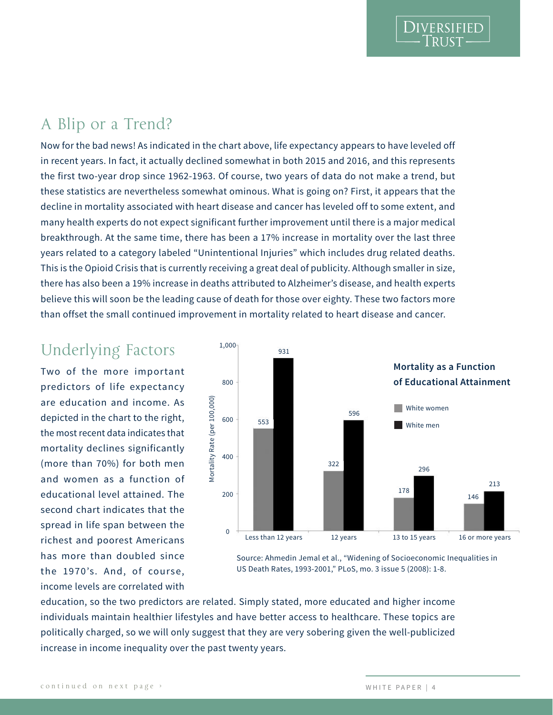## A Blip or a Trend?

Now for the bad news! As indicated in the chart above, life expectancy appears to have leveled off in recent years. In fact, it actually declined somewhat in both 2015 and 2016, and this represents the first two-year drop since 1962-1963. Of course, two years of data do not make a trend, but these statistics are nevertheless somewhat ominous. What is going on? First, it appears that the decline in mortality associated with heart disease and cancer has leveled off to some extent, and many health experts do not expect significant further improvement until there is a major medical breakthrough. At the same time, there has been a 17% increase in mortality over the last three years related to a category labeled "Unintentional Injuries" which includes drug related deaths. This is the Opioid Crisis that is currently receiving a great deal of publicity. Although smaller in size, there has also been a 19% increase in deaths attributed to Alzheimer's disease, and health experts believe this will soon be the leading cause of death for those over eighty. These two factors more than offset the small continued improvement in mortality related to heart disease and cancer.

## Underlying Factors

Two of the more important predictors of life expectancy are education and income. As depicted in the chart to the right, the most recent data indicates that mortality declines significantly (more than 70%) for both men and women as a function of educational level attained. The second chart indicates that the spread in life span between the richest and poorest Americans has more than doubled since the 1970's. And, of course, income levels are correlated with



Source: Ahmedin Jemal et al., "Widening of Socioeconomic Inequalities in US Death Rates, 1993-2001," PLoS, mo. 3 issue 5 (2008): 1-8.

education, so the two predictors are related. Simply stated, more educated and higher income individuals maintain healthier lifestyles and have better access to healthcare. These topics are politically charged, so we will only suggest that they are very sobering given the well-publicized increase in income inequality over the past twenty years.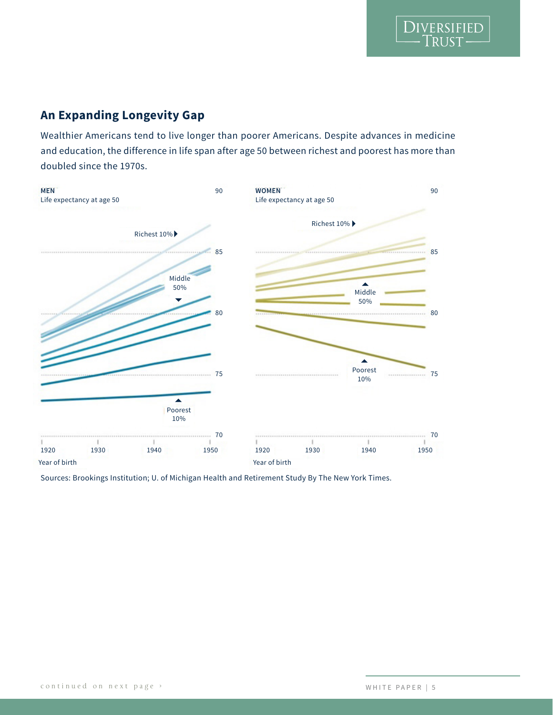#### **An Expanding Longevity Gap**

Wealthier Americans tend to live longer than poorer Americans. Despite advances in medicine and education, the difference in life span after age 50 between richest and poorest has more than doubled since the 1970s.



Sources: Brookings Institution; U. of Michigan Health and Retirement Study By The New York Times.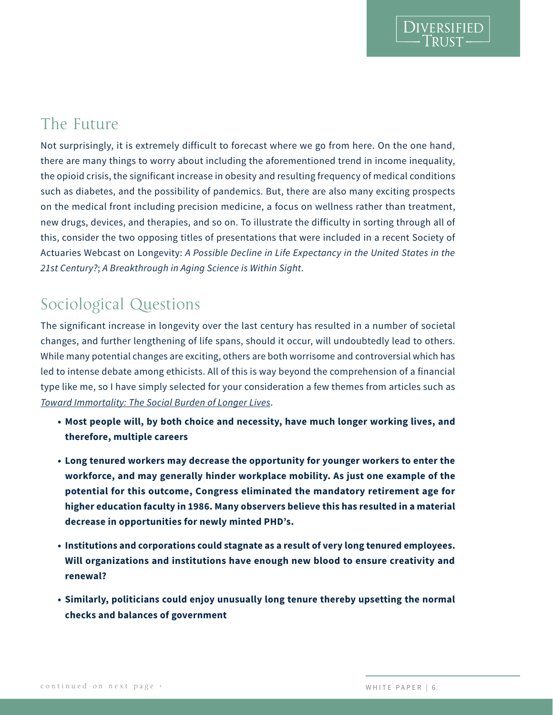## The Future

Not surprisingly, it is extremely difficult to forecast where we go from here. On the one hand, there are many things to worry about including the aforementioned trend in income inequality, the opioid crisis, the significant increase in obesity and resulting frequency of medical conditions such as diabetes, and the possibility of pandemics. But, there are also many exciting prospects on the medical front including precision medicine, a focus on wellness rather than treatment, new drugs, devices, and therapies, and so on. To illustrate the difficulty in sorting through all of this, consider the two opposing titles of presentations that were included in a recent Society of Actuaries Webcast on Longevity: *A Possible Decline in Life Expectancy in the United States in the 21st Century?*; *A Breakthrough in Aging Science is Within Sight*.

## Sociological Questions

The significant increase in longevity over the last century has resulted in a number of societal changes, and further lengthening of life spans, should it occur, will undoubtedly lead to others. While many potential changes are exciting, others are both worrisome and controversial which has led to intense debate among ethicists. All of this is way beyond the comprehension of a financial type like me, so I have simply selected for your consideration a few themes from articles such as *Toward Immortality: The Social Burden of Longer Lives*.

- **• Most people will, by both choice and necessity, have much longer working lives, and therefore, multiple careers**
- **• Long tenured workers may decrease the opportunity for younger workers to enter the workforce, and may generally hinder workplace mobility. As just one example of the potential for this outcome, Congress eliminated the mandatory retirement age for higher education faculty in 1986. Many observers believe this has resulted in a material decrease in opportunities for newly minted PHD's.**
- **• Institutions and corporations could stagnate as a result of very long tenured employees. Will organizations and institutions have enough new blood to ensure creativity and renewal?**
- **• Similarly, politicians could enjoy unusually long tenure thereby upsetting the normal checks and balances of government**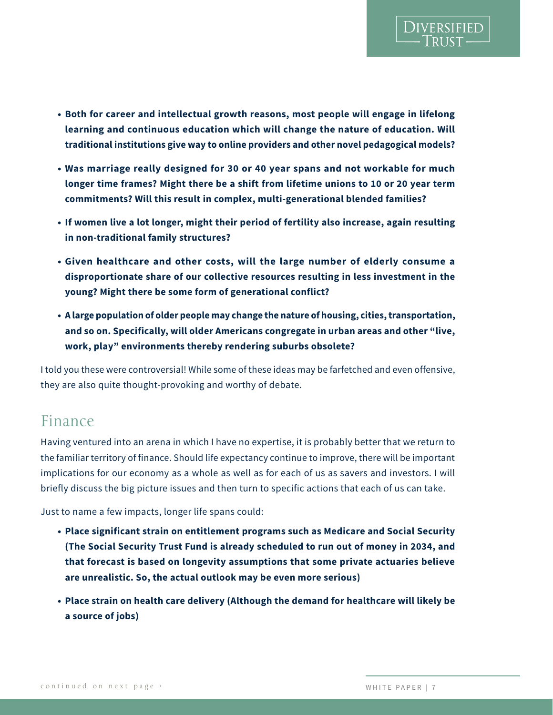- **• Both for career and intellectual growth reasons, most people will engage in lifelong learning and continuous education which will change the nature of education. Will traditional institutions give way to online providers and other novel pedagogical models?**
- **• Was marriage really designed for 30 or 40 year spans and not workable for much longer time frames? Might there be a shift from lifetime unions to 10 or 20 year term commitments? Will this result in complex, multi-generational blended families?**
- **• If women live a lot longer, might their period of fertility also increase, again resulting in non-traditional family structures?**
- **• Given healthcare and other costs, will the large number of elderly consume a disproportionate share of our collective resources resulting in less investment in the young? Might there be some form of generational conflict?**
- **• A large population of older people may change the nature of housing, cities, transportation, and so on. Specifically, will older Americans congregate in urban areas and other "live, work, play" environments thereby rendering suburbs obsolete?**

I told you these were controversial! While some of these ideas may be farfetched and even offensive, they are also quite thought-provoking and worthy of debate.

#### Finance

Having ventured into an arena in which I have no expertise, it is probably better that we return to the familiar territory of finance. Should life expectancy continue to improve, there will be important implications for our economy as a whole as well as for each of us as savers and investors. I will briefly discuss the big picture issues and then turn to specific actions that each of us can take.

Just to name a few impacts, longer life spans could:

- **• Place significant strain on entitlement programs such as Medicare and Social Security (The Social Security Trust Fund is already scheduled to run out of money in 2034, and that forecast is based on longevity assumptions that some private actuaries believe are unrealistic. So, the actual outlook may be even more serious)**
- **• Place strain on health care delivery (Although the demand for healthcare will likely be a source of jobs)**

**JIVERSIFIED**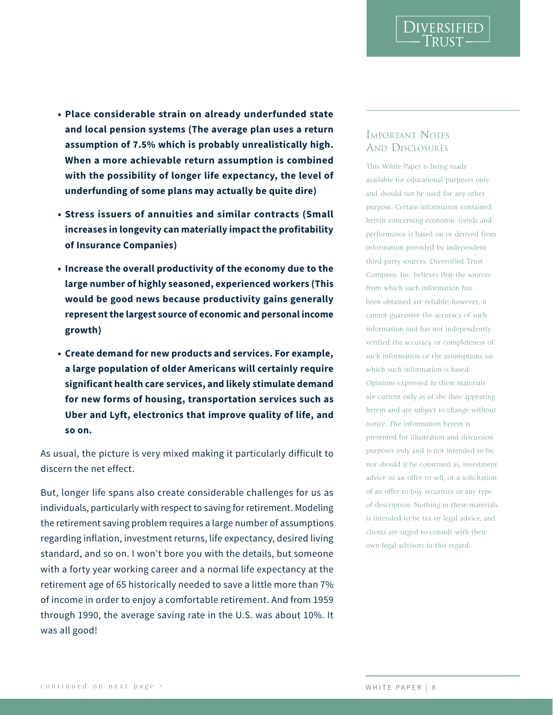- **• Place considerable strain on already underfunded state and local pension systems (The average plan uses a return assumption of 7.5% which is probably unrealistically high. When a more achievable return assumption is combined with the possibility of longer life expectancy, the level of underfunding of some plans may actually be quite dire)**
- **• Stress issuers of annuities and similar contracts (Small increases in longevity can materially impact the profitability of Insurance Companies)**
- **• Increase the overall productivity of the economy due to the large number of highly seasoned, experienced workers (This would be good news because productivity gains generally represent the largest source of economic and personal income growth)**
- **• Create demand for new products and services. For example, a large population of older Americans will certainly require significant health care services, and likely stimulate demand for new forms of housing, transportation services such as Uber and Lyft, electronics that improve quality of life, and so on.**

As usual, the picture is very mixed making it particularly difficult to discern the net effect.

But, longer life spans also create considerable challenges for us as individuals, particularly with respect to saving for retirement. Modeling the retirement saving problem requires a large number of assumptions regarding inflation, investment returns, life expectancy, desired living standard, and so on. I won't bore you with the details, but someone with a forty year working career and a normal life expectancy at the retirement age of 65 historically needed to save a little more than 7% of income in order to enjoy a comfortable retirement. And from 1959 through 1990, the average saving rate in the U.S. was about 10%. It was all good!

#### Important Notes AND DISCLOSURES

DIVERSIFIED

This White Paper is being made available for educational purposes only and should not be used for any other purpose. Certain information contained herein concerning economic trends and performance is based on or derived from information provided by independent third-party sources. Diversified Trust Company, Inc. believes that the sources from which such information has been obtained are reliable; however, it cannot guarantee the accuracy of such information and has not independently verified the accuracy or completeness of such information or the assumptions on which such information is based. Opinions expressed in these materials are current only as of the date appearing herein and are subject to change without notice. The information herein is presented for illustration and discussion purposes only and is not intended to be, nor should it be construed as, investment advice or an offer to sell, or a solicitation of an offer to buy securities or any type of description. Nothing in these materials is intended to be tax or legal advice, and clients are urged to consult with their own legal advisors in this regard.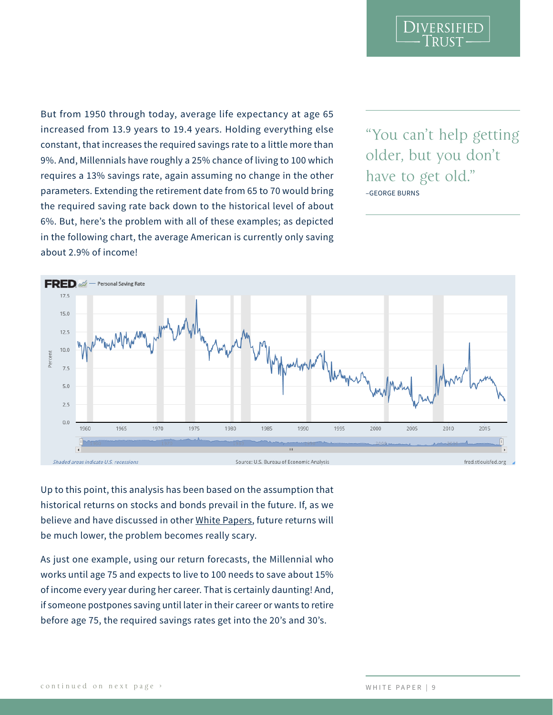But from 1950 through today, average life expectancy at age 65 increased from 13.9 years to 19.4 years. Holding everything else constant, that increases the required savings rate to a little more than 9%. And, Millennials have roughly a 25% chance of living to 100 which requires a 13% savings rate, again assuming no change in the other parameters. Extending the retirement date from 65 to 70 would bring the required saving rate back down to the historical level of about 6%. But, here's the problem with all of these examples; as depicted in the following chart, the average American is currently only saving about 2.9% of income!

"You can't help getting older, but you don't have to get old." –GEORGE BURNS

DIVERSIFIED



Up to this point, this analysis has been based on the assumption that historical returns on stocks and bonds prevail in the future. If, as we believe and have discussed in other White Papers, future returns will be much lower, the problem becomes really scary.

As just one example, using our return forecasts, the Millennial who works until age 75 and expects to live to 100 needs to save about 15% of income every year during her career. That is certainly daunting! And, if someone postpones saving until later in their career or wants to retire before age 75, the required savings rates get into the 20's and 30's.